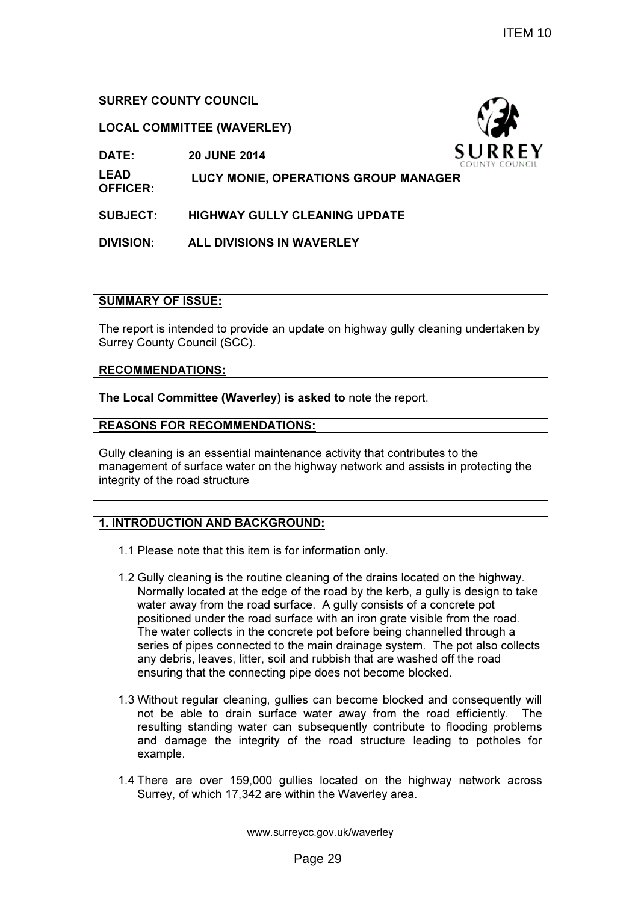## SURREY COUNTY COUNCIL

## LOCAL COMMITTEE (WAVERLEY)

DATE: 20 JUNE 2014



LEAD OFFICER: LUCY MONIE, OPERATIONS GROUP MANAGER

SUBJECT: HIGHWAY GULLY CLEANING UPDATE

DIVISION: ALL DIVISIONS IN WAVERLEY

## SUMMARY OF ISSUE:

The report is intended to provide an update on highway gully cleaning undertaken by Surrey County Council (SCC).

RECOMMENDATIONS:

The Local Committee (Waverley) is asked to note the report.

## REASONS FOR RECOMMENDATIONS:

Gully cleaning is an essential maintenance activity that contributes to the management of surface water on the highway network and assists in protecting the integrity of the road structure

# 1. INTRODUCTION AND BACKGROUND:

- 1.1 Please note that this item is for information only.
- 1.2 Gully cleaning is the routine cleaning of the drains located on the highway. Normally located at the edge of the road by the kerb, a gully is design to take water away from the road surface. A gully consists of a concrete pot positioned under the road surface with an iron grate visible from the road. The water collects in the concrete pot before being channelled through a series of pipes connected to the main drainage system. The pot also collects any debris, leaves, litter, soil and rubbish that are washed off the road ensuring that the connecting pipe does not become blocked.
- 1.3 Without regular cleaning, gullies can become blocked and consequently will not be able to drain surface water away from the road efficiently. The resulting standing water can subsequently contribute to flooding problems and damage the integrity of the road structure leading to potholes for example.
- 1.4 There are over 159,000 gullies located on the highway network across Surrey, of which 17,342 are within the Waverley area.

www.surreycc.gov.uk/waverley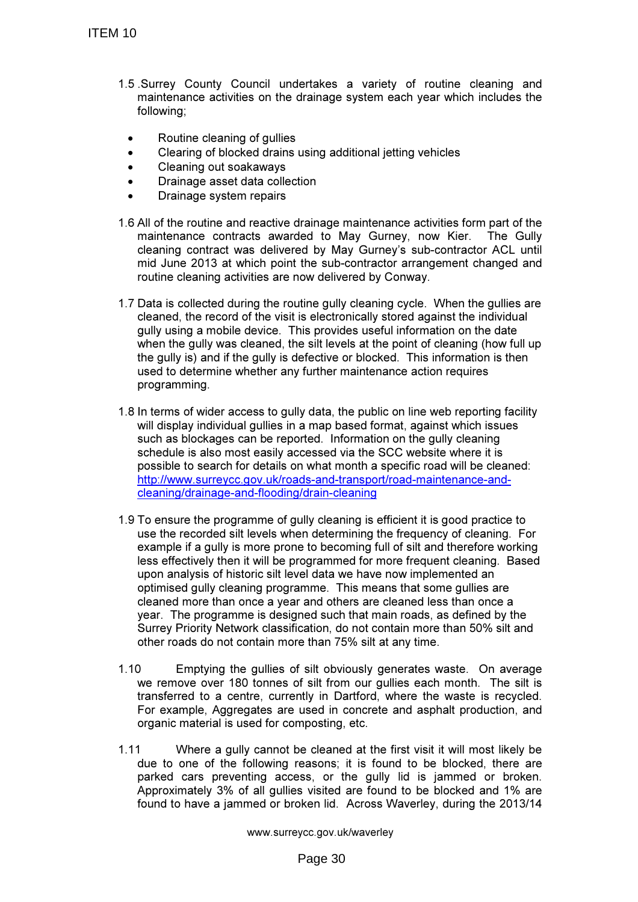- 1.5 .Surrey County Council undertakes a variety of routine cleaning and maintenance activities on the drainage system each year which includes the following;
	- Routine cleaning of gullies
	- Clearing of blocked drains using additional jetting vehicles
	- Cleaning out soakaways
	- Drainage asset data collection
	- Drainage system repairs
- 1.6 All of the routine and reactive drainage maintenance activities form part of the maintenance contracts awarded to May Gurney, now Kier. cleaning contract was delivered by May Gurney's sub-contractor ACL until mid June 2013 at which point the sub-contractor arrangement changed and routine cleaning activities are now delivered by Conway.
- 1.7 Data is collected during the routine gully cleaning cycle. When the gullies are cleaned, the record of the visit is electronically stored against the individual gully using a mobile device. This provides useful information on the date when the gully was cleaned, the silt levels at the point of cleaning (how full up the gully is) and if the gully is defective or blocked. This information is then used to determine whether any further maintenance action requires programming.
- 1.8 In terms of wider access to gully data, the public on line web reporting facility will display individual gullies in a map based format, against which issues such as blockages can be reported. Information on the gully cleaning schedule is also most easily accessed via the SCC website where it is possible to search for details on what month a specific road will be cleaned: http://www.surreycc.gov.uk/roads-and-transport/road-maintenance-andcleaning/drainage-and-flooding/drain-cleaning
- 1.9 To ensure the programme of gully cleaning is efficient it is good practice to use the recorded silt levels when determining the frequency of cleaning. For example if a gully is more prone to becoming full of silt and therefore working less effectively then it will be programmed for more frequent cleaning. Based upon analysis of historic silt level data we have now implemented an optimised gully cleaning programme. This means that some gullies are cleaned more than once a year and others are cleaned less than once a year. The programme is designed such that main roads, as defined by the Surrey Priority Network classification, do not contain more than 50% silt and other roads do not contain more than 75% silt at any time.
- 1.10 Emptying the gullies of silt obviously generates waste. On average we remove over 180 tonnes of silt from our gullies each month. The silt is transferred to a centre, currently in Dartford, where the waste is recycled. For example, Aggregates are used in concrete and asphalt production, and organic material is used for composting, etc.
- 1.11 Where a gully cannot be cleaned at the first visit it will most likely be due to one of the following reasons; it is found to be blocked, there are parked cars preventing access, or the gully lid is jammed or broken. Approximately 3% of all gullies visited are found to be blocked and 1% are found to have a jammed or broken lid. Across Waverley, during the 2013/14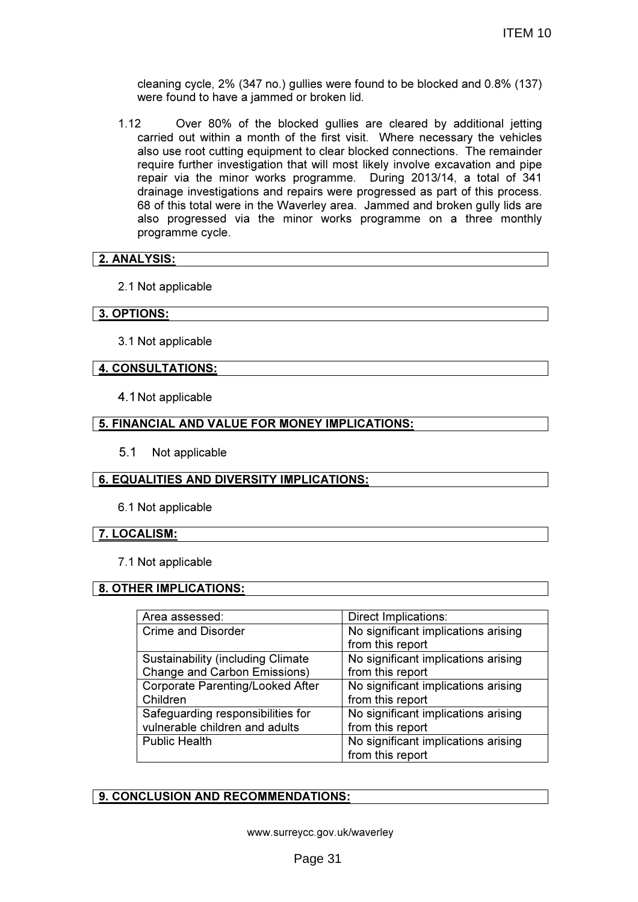cleaning cycle, 2% (347 no.) gullies were found to be blocked and 0.8% (137) were found to have a jammed or broken lid.

1.12 Over 80% of the blocked gullies are cleared by additional jetting carried out within a month of the first visit. Where necessary the vehicles also use root cutting equipment to clear blocked connections. The remainder require further investigation that will most likely involve excavation and pipe repair via the minor works programme. During 2013/14, a total of 341 drainage investigations and repairs were progressed as part of this process. 68 of this total were in the Waverley area. Jammed and broken gully lids are also progressed via the minor works programme on a three monthly programme cycle.

## 2. ANALYSIS:

2.1 Not applicable

#### 3. OPTIONS:

3.1 Not applicable

## 4. CONSULTATIONS:

4.1 Not applicable

#### **5. FINANCIAL AND VALUE FOR MONEY IMPLICATIONS:**

5.1 Not applicable

## 6. EQUALITIES AND DIVERSITY IMPLICATIONS:

6.1 Not applicable

#### 7. LOCALISM:

7.1 Not applicable

## 8. OTHER IMPLICATIONS:

| Area assessed:                            | <b>Direct Implications:</b>         |
|-------------------------------------------|-------------------------------------|
| <b>Crime and Disorder</b>                 | No significant implications arising |
|                                           | from this report                    |
| <b>Sustainability (including Climate)</b> | No significant implications arising |
| <b>Change and Carbon Emissions)</b>       | from this report                    |
| <b>Corporate Parenting/Looked After</b>   | No significant implications arising |
| Children                                  | from this report                    |
| Safeguarding responsibilities for         | No significant implications arising |
| vulnerable children and adults            | from this report                    |
| <b>Public Health</b>                      | No significant implications arising |
|                                           | from this report                    |

## 9. CONCLUSION AND RECOMMENDATIONS: